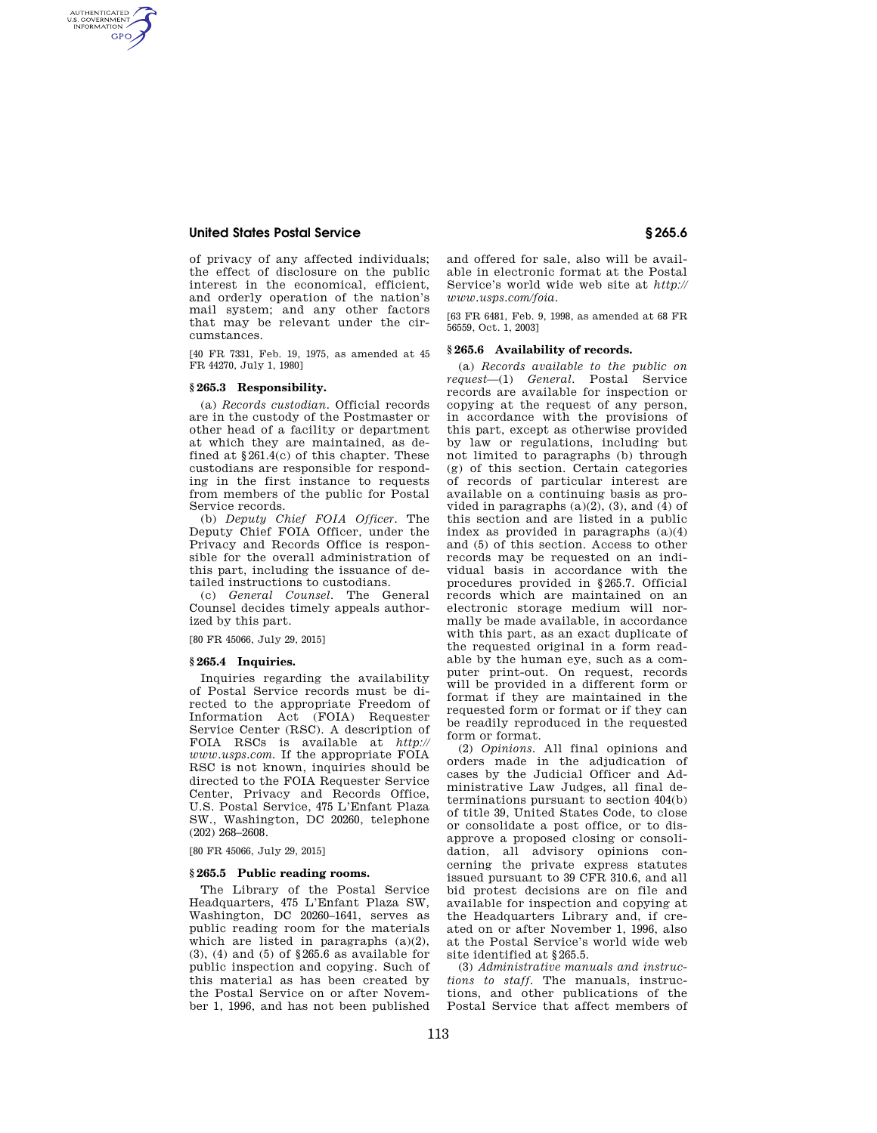AUTHENTICATED<br>U.S. GOVERNMENT<br>INFORMATION **GPO** 

> of privacy of any affected individuals; the effect of disclosure on the public interest in the economical, efficient, and orderly operation of the nation's mail system; and any other factors that may be relevant under the circumstances.

> [40 FR 7331, Feb. 19, 1975, as amended at 45 FR 44270, July 1, 1980]

#### **§ 265.3 Responsibility.**

(a) *Records custodian.* Official records are in the custody of the Postmaster or other head of a facility or department at which they are maintained, as defined at  $§261.4(c)$  of this chapter. These custodians are responsible for responding in the first instance to requests from members of the public for Postal Service records.

(b) *Deputy Chief FOIA Officer.* The Deputy Chief FOIA Officer, under the Privacy and Records Office is responsible for the overall administration of this part, including the issuance of detailed instructions to custodians.

(c) *General Counsel.* The General Counsel decides timely appeals authorized by this part.

#### [80 FR 45066, July 29, 2015]

#### **§ 265.4 Inquiries.**

Inquiries regarding the availability of Postal Service records must be directed to the appropriate Freedom of Information Act (FOIA) Requester Service Center (RSC). A description of FOIA RSCs is available at *http:// www.usps.com.* If the appropriate FOIA RSC is not known, inquiries should be directed to the FOIA Requester Service Center, Privacy and Records Office, U.S. Postal Service, 475 L'Enfant Plaza SW., Washington, DC 20260, telephone (202) 268–2608.

[80 FR 45066, July 29, 2015]

#### **§ 265.5 Public reading rooms.**

The Library of the Postal Service Headquarters, 475 L'Enfant Plaza SW, Washington, DC 20260–1641, serves as public reading room for the materials which are listed in paragraphs  $(a)(2)$ , (3), (4) and (5) of §265.6 as available for public inspection and copying. Such of this material as has been created by the Postal Service on or after November 1, 1996, and has not been published

and offered for sale, also will be available in electronic format at the Postal Service's world wide web site at *http:// www.usps.com/foia.* 

[63 FR 6481, Feb. 9, 1998, as amended at 68 FR 56559, Oct. 1, 2003]

#### **§ 265.6 Availability of records.**

(a) *Records available to the public on request*—(1) *General.* Postal Service records are available for inspection or copying at the request of any person, in accordance with the provisions of this part, except as otherwise provided by law or regulations, including but not limited to paragraphs (b) through (g) of this section. Certain categories of records of particular interest are available on a continuing basis as provided in paragraphs  $(a)(2)$ ,  $(3)$ , and  $(4)$  of this section and are listed in a public index as provided in paragraphs (a)(4) and (5) of this section. Access to other records may be requested on an individual basis in accordance with the procedures provided in §265.7. Official records which are maintained on an electronic storage medium will normally be made available, in accordance with this part, as an exact duplicate of the requested original in a form readable by the human eye, such as a computer print-out. On request, records will be provided in a different form or format if they are maintained in the requested form or format or if they can be readily reproduced in the requested form or format.

(2) *Opinions.* All final opinions and orders made in the adjudication of cases by the Judicial Officer and Administrative Law Judges, all final determinations pursuant to section 404(b) of title 39, United States Code, to close or consolidate a post office, or to disapprove a proposed closing or consolidation, all advisory opinions concerning the private express statutes issued pursuant to 39 CFR 310.6, and all bid protest decisions are on file and available for inspection and copying at the Headquarters Library and, if created on or after November 1, 1996, also at the Postal Service's world wide web site identified at §265.5.

(3) *Administrative manuals and instructions to staff.* The manuals, instructions, and other publications of the Postal Service that affect members of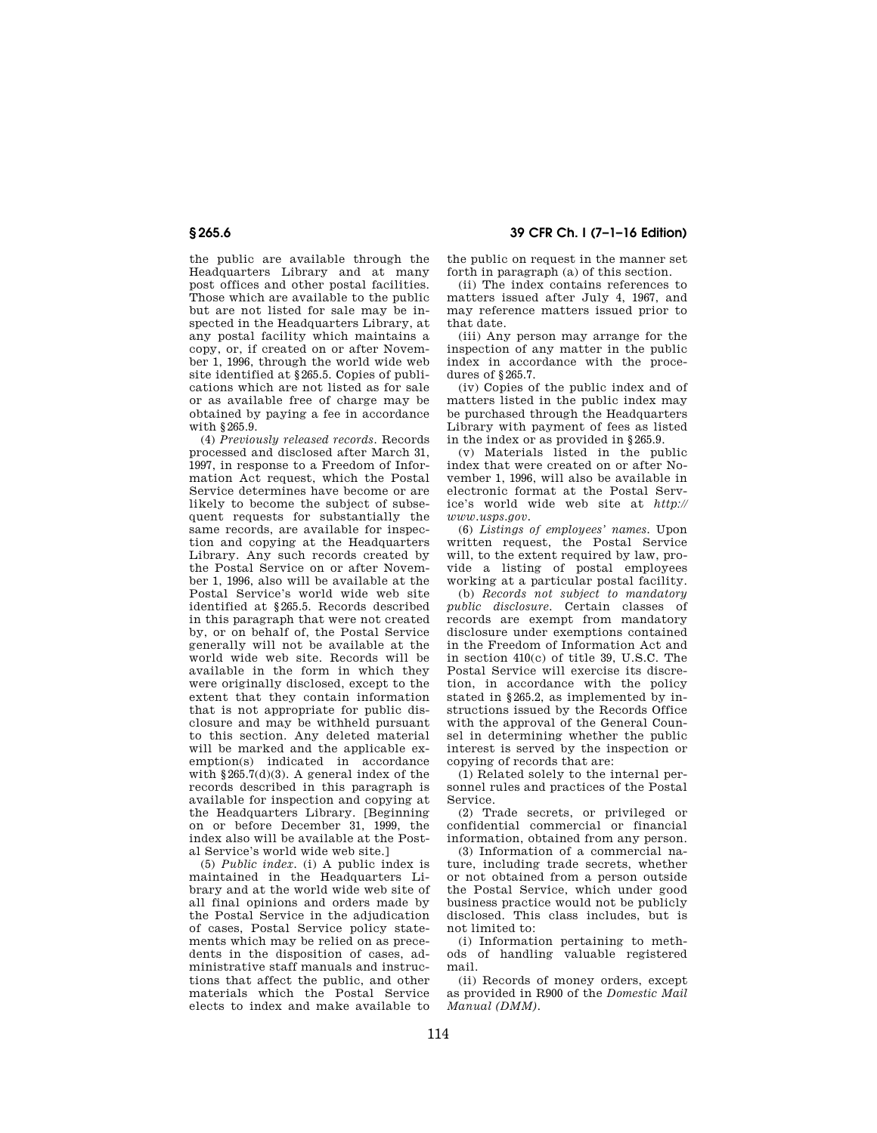the public are available through the Headquarters Library and at many post offices and other postal facilities. Those which are available to the public but are not listed for sale may be inspected in the Headquarters Library, at any postal facility which maintains a copy, or, if created on or after November 1, 1996, through the world wide web site identified at §265.5. Copies of publications which are not listed as for sale or as available free of charge may be obtained by paying a fee in accordance with §265.9.

(4) *Previously released records.* Records processed and disclosed after March 31, 1997, in response to a Freedom of Information Act request, which the Postal Service determines have become or are likely to become the subject of subsequent requests for substantially the same records, are available for inspection and copying at the Headquarters Library. Any such records created by the Postal Service on or after November 1, 1996, also will be available at the Postal Service's world wide web site identified at §265.5. Records described in this paragraph that were not created by, or on behalf of, the Postal Service generally will not be available at the world wide web site. Records will be available in the form in which they were originally disclosed, except to the extent that they contain information that is not appropriate for public disclosure and may be withheld pursuant to this section. Any deleted material will be marked and the applicable exemption(s) indicated in accordance with  $§265.7(d)(3)$ . A general index of the records described in this paragraph is available for inspection and copying at the Headquarters Library. [Beginning on or before December 31, 1999, the index also will be available at the Postal Service's world wide web site.]

(5) *Public index.* (i) A public index is maintained in the Headquarters Library and at the world wide web site of all final opinions and orders made by the Postal Service in the adjudication of cases, Postal Service policy statements which may be relied on as precedents in the disposition of cases, administrative staff manuals and instructions that affect the public, and other materials which the Postal Service elects to index and make available to

## **§ 265.6 39 CFR Ch. I (7–1–16 Edition)**

the public on request in the manner set forth in paragraph (a) of this section.

(ii) The index contains references to matters issued after July 4, 1967, and may reference matters issued prior to that date.

(iii) Any person may arrange for the inspection of any matter in the public index in accordance with the procedures of §265.7.

(iv) Copies of the public index and of matters listed in the public index may be purchased through the Headquarters Library with payment of fees as listed in the index or as provided in §265.9.

(v) Materials listed in the public index that were created on or after November 1, 1996, will also be available in electronic format at the Postal Service's world wide web site at *http:// www.usps.gov.* 

(6) *Listings of employees' names.* Upon written request, the Postal Service will, to the extent required by law, provide a listing of postal employees working at a particular postal facility.

(b) *Records not subject to mandatory public disclosure.* Certain classes of records are exempt from mandatory disclosure under exemptions contained in the Freedom of Information Act and in section 410(c) of title 39, U.S.C. The Postal Service will exercise its discretion, in accordance with the policy stated in §265.2, as implemented by instructions issued by the Records Office with the approval of the General Counsel in determining whether the public interest is served by the inspection or copying of records that are:

(1) Related solely to the internal personnel rules and practices of the Postal Service.

(2) Trade secrets, or privileged or confidential commercial or financial information, obtained from any person.

(3) Information of a commercial nature, including trade secrets, whether or not obtained from a person outside the Postal Service, which under good business practice would not be publicly disclosed. This class includes, but is not limited to:

(i) Information pertaining to methods of handling valuable registered mail.

(ii) Records of money orders, except as provided in R900 of the *Domestic Mail Manual (DMM).*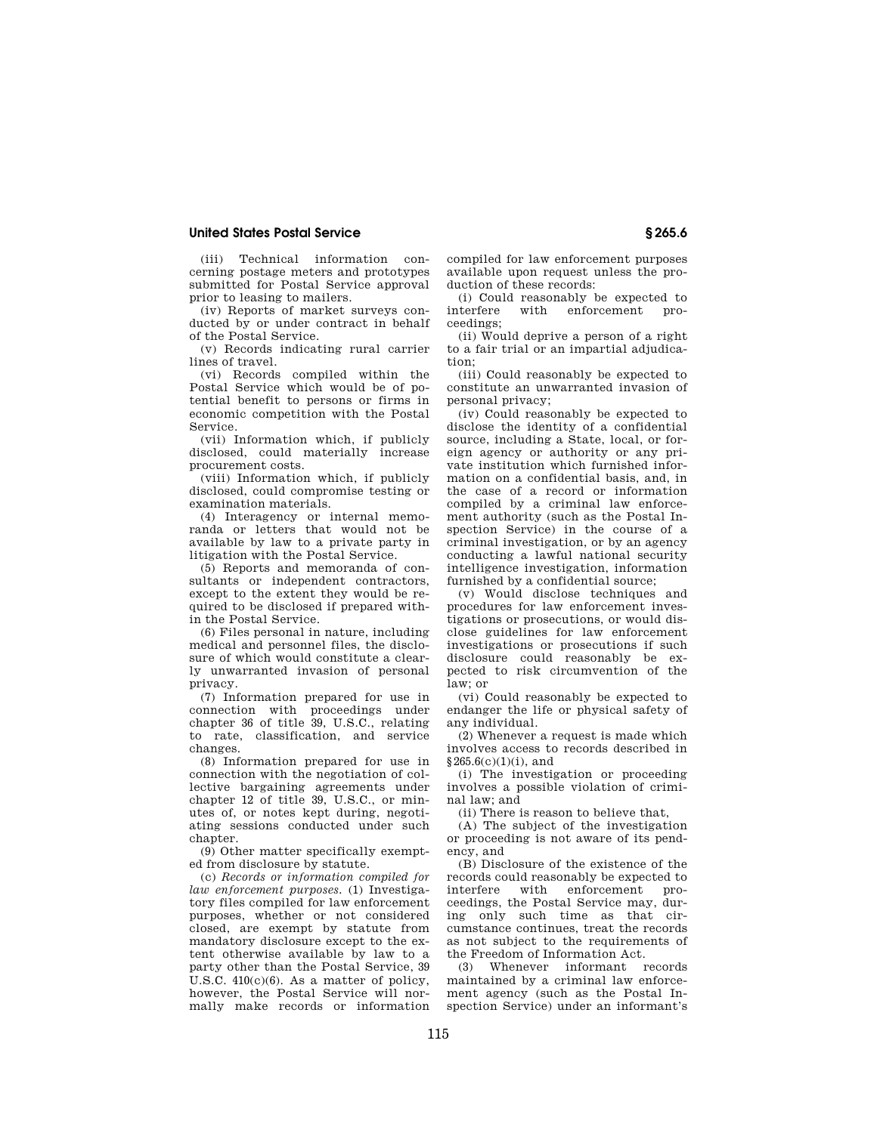(iii) Technical information concerning postage meters and prototypes submitted for Postal Service approval prior to leasing to mailers.

(iv) Reports of market surveys conducted by or under contract in behalf of the Postal Service.

(v) Records indicating rural carrier lines of travel.

(vi) Records compiled within the Postal Service which would be of potential benefit to persons or firms in economic competition with the Postal Service.

(vii) Information which, if publicly disclosed, could materially increase procurement costs.

(viii) Information which, if publicly disclosed, could compromise testing or examination materials.

(4) Interagency or internal memoranda or letters that would not be available by law to a private party in litigation with the Postal Service.

(5) Reports and memoranda of consultants or independent contractors, except to the extent they would be required to be disclosed if prepared within the Postal Service.

(6) Files personal in nature, including medical and personnel files, the disclosure of which would constitute a clearly unwarranted invasion of personal privacy.

(7) Information prepared for use in connection with proceedings under chapter 36 of title 39, U.S.C., relating to rate, classification, and service changes.

(8) Information prepared for use in connection with the negotiation of collective bargaining agreements under chapter 12 of title 39, U.S.C., or minutes of, or notes kept during, negotiating sessions conducted under such chapter

(9) Other matter specifically exempted from disclosure by statute.

(c) *Records or information compiled for law enforcement purposes.* (1) Investigatory files compiled for law enforcement purposes, whether or not considered closed, are exempt by statute from mandatory disclosure except to the extent otherwise available by law to a party other than the Postal Service, 39 U.S.C. 410(c)(6). As a matter of policy, however, the Postal Service will normally make records or information

compiled for law enforcement purposes available upon request unless the production of these records:

(i) Could reasonably be expected to<br>interfere with enforcement proenforcement ceedings;

(ii) Would deprive a person of a right to a fair trial or an impartial adjudication;

(iii) Could reasonably be expected to constitute an unwarranted invasion of personal privacy;

(iv) Could reasonably be expected to disclose the identity of a confidential source, including a State, local, or foreign agency or authority or any private institution which furnished information on a confidential basis, and, in the case of a record or information compiled by a criminal law enforcement authority (such as the Postal Inspection Service) in the course of a criminal investigation, or by an agency conducting a lawful national security intelligence investigation, information furnished by a confidential source;

(v) Would disclose techniques and procedures for law enforcement investigations or prosecutions, or would disclose guidelines for law enforcement investigations or prosecutions if such disclosure could reasonably be expected to risk circumvention of the law; or

(vi) Could reasonably be expected to endanger the life or physical safety of any individual.

(2) Whenever a request is made which involves access to records described in  $$265.6(c)(1)(i)$ , and

(i) The investigation or proceeding involves a possible violation of criminal law; and

(ii) There is reason to believe that,

(A) The subject of the investigation or proceeding is not aware of its pendency, and

(B) Disclosure of the existence of the records could reasonably be expected to interfere with enforcement proceedings, the Postal Service may, during only such time as that circumstance continues, treat the records as not subject to the requirements of the Freedom of Information Act.

(3) Whenever informant records maintained by a criminal law enforcement agency (such as the Postal Inspection Service) under an informant's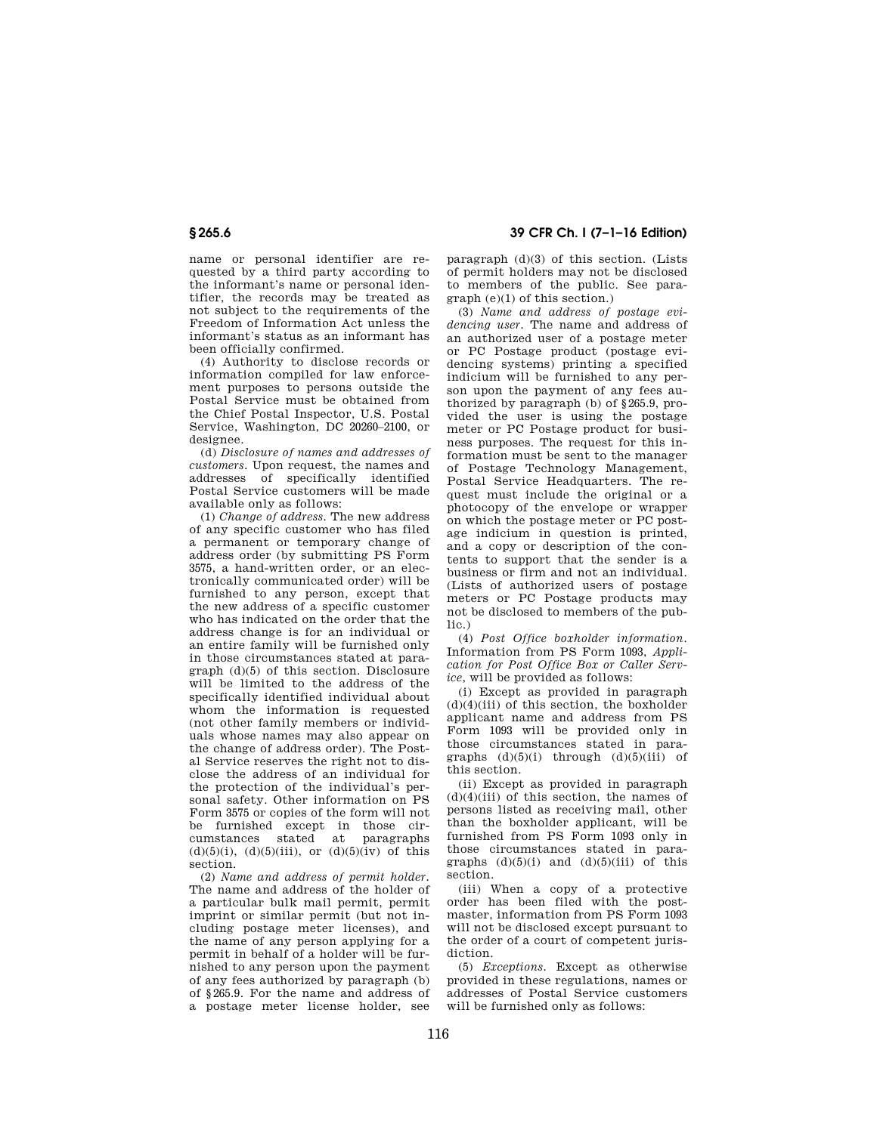name or personal identifier are requested by a third party according to the informant's name or personal identifier, the records may be treated as not subject to the requirements of the Freedom of Information Act unless the informant's status as an informant has been officially confirmed.

(4) Authority to disclose records or information compiled for law enforcement purposes to persons outside the Postal Service must be obtained from the Chief Postal Inspector, U.S. Postal Service, Washington, DC 20260–2100, or designee.

(d) *Disclosure of names and addresses of customers.* Upon request, the names and addresses of specifically identified Postal Service customers will be made available only as follows:

(1) *Change of address.* The new address of any specific customer who has filed a permanent or temporary change of address order (by submitting PS Form 3575, a hand-written order, or an electronically communicated order) will be furnished to any person, except that the new address of a specific customer who has indicated on the order that the address change is for an individual or an entire family will be furnished only in those circumstances stated at paragraph (d)(5) of this section. Disclosure will be limited to the address of the specifically identified individual about whom the information is requested (not other family members or individuals whose names may also appear on the change of address order). The Postal Service reserves the right not to disclose the address of an individual for the protection of the individual's personal safety. Other information on PS Form 3575 or copies of the form will not be furnished except in those circumstances stated at paragraphs (d)(5)(i), (d)(5)(iii), or (d)(5)(iv) of this section.

(2) *Name and address of permit holder.*  The name and address of the holder of a particular bulk mail permit, permit imprint or similar permit (but not including postage meter licenses), and the name of any person applying for a permit in behalf of a holder will be furnished to any person upon the payment of any fees authorized by paragraph (b) of §265.9. For the name and address of a postage meter license holder, see

**§ 265.6 39 CFR Ch. I (7–1–16 Edition)** 

paragraph (d)(3) of this section. (Lists of permit holders may not be disclosed to members of the public. See paragraph (e)(1) of this section.)

(3) *Name and address of postage evidencing user.* The name and address of an authorized user of a postage meter or PC Postage product (postage evidencing systems) printing a specified indicium will be furnished to any person upon the payment of any fees authorized by paragraph (b) of §265.9, provided the user is using the postage meter or PC Postage product for business purposes. The request for this information must be sent to the manager of Postage Technology Management, Postal Service Headquarters. The request must include the original or a photocopy of the envelope or wrapper on which the postage meter or PC postage indicium in question is printed, and a copy or description of the contents to support that the sender is a business or firm and not an individual. (Lists of authorized users of postage meters or PC Postage products may not be disclosed to members of the public.)

(4) *Post Office boxholder information.*  Information from PS Form 1093, *Application for Post Office Box or Caller Service*, will be provided as follows:

(i) Except as provided in paragraph  $(d)(4)(iii)$  of this section, the boxholder applicant name and address from PS Form 1093 will be provided only in those circumstances stated in paragraphs (d)(5)(i) through (d)(5)(iii) of this section.

(ii) Except as provided in paragraph  $(d)(4)(iii)$  of this section, the names of persons listed as receiving mail, other than the boxholder applicant, will be furnished from PS Form 1093 only in those circumstances stated in paragraphs  $(d)(5)(i)$  and  $(d)(5)(iii)$  of this section.

(iii) When a copy of a protective order has been filed with the postmaster, information from PS Form 1093 will not be disclosed except pursuant to the order of a court of competent jurisdiction.

(5) *Exceptions.* Except as otherwise provided in these regulations, names or addresses of Postal Service customers will be furnished only as follows: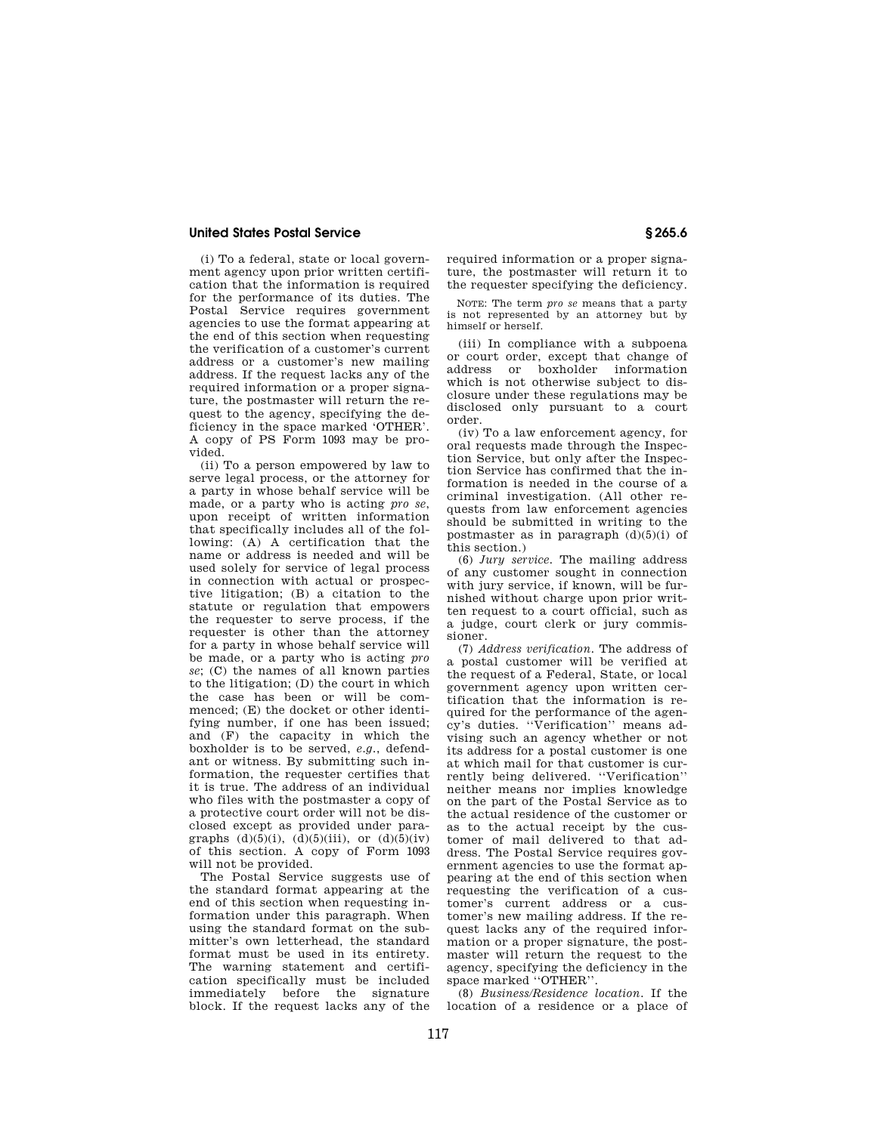(i) To a federal, state or local government agency upon prior written certification that the information is required for the performance of its duties. The Postal Service requires government agencies to use the format appearing at the end of this section when requesting the verification of a customer's current address or a customer's new mailing address. If the request lacks any of the required information or a proper signature, the postmaster will return the request to the agency, specifying the deficiency in the space marked 'OTHER'. A copy of PS Form 1093 may be provided.

(ii) To a person empowered by law to serve legal process, or the attorney for a party in whose behalf service will be made, or a party who is acting *pro se*, upon receipt of written information that specifically includes all of the following: (A) A certification that the name or address is needed and will be used solely for service of legal process in connection with actual or prospective litigation; (B) a citation to the statute or regulation that empowers the requester to serve process, if the requester is other than the attorney for a party in whose behalf service will be made, or a party who is acting *pro se*; (C) the names of all known parties to the litigation; (D) the court in which the case has been or will be commenced; (E) the docket or other identifying number, if one has been issued; and (F) the capacity in which the boxholder is to be served, *e.g.*, defendant or witness. By submitting such information, the requester certifies that it is true. The address of an individual who files with the postmaster a copy of a protective court order will not be disclosed except as provided under paragraphs  $(d)(5)(i)$ ,  $(d)(5)(iii)$ , or  $(d)(5)(iv)$ of this section. A copy of Form 1093 will not be provided.

The Postal Service suggests use of the standard format appearing at the end of this section when requesting information under this paragraph. When using the standard format on the submitter's own letterhead, the standard format must be used in its entirety. The warning statement and certification specifically must be included immediately before the signature block. If the request lacks any of the

required information or a proper signature, the postmaster will return it to the requester specifying the deficiency.

NOTE: The term *pro se* means that a party is not represented by an attorney but by himself or herself.

(iii) In compliance with a subpoena or court order, except that change of address or boxholder information which is not otherwise subject to disclosure under these regulations may be disclosed only pursuant to a court order.

(iv) To a law enforcement agency, for oral requests made through the Inspection Service, but only after the Inspection Service has confirmed that the information is needed in the course of a criminal investigation. (All other requests from law enforcement agencies should be submitted in writing to the postmaster as in paragraph  $(d)(5)(i)$  of this section.)

(6) *Jury service.* The mailing address of any customer sought in connection with jury service, if known, will be furnished without charge upon prior written request to a court official, such as a judge, court clerk or jury commissioner.

(7) *Address verification.* The address of a postal customer will be verified at the request of a Federal, State, or local government agency upon written certification that the information is required for the performance of the agency's duties. ''Verification'' means advising such an agency whether or not its address for a postal customer is one at which mail for that customer is currently being delivered. ''Verification'' neither means nor implies knowledge on the part of the Postal Service as to the actual residence of the customer or as to the actual receipt by the customer of mail delivered to that address. The Postal Service requires government agencies to use the format appearing at the end of this section when requesting the verification of a customer's current address or a customer's new mailing address. If the request lacks any of the required information or a proper signature, the postmaster will return the request to the agency, specifying the deficiency in the space marked ''OTHER''.

(8) *Business/Residence location.* If the location of a residence or a place of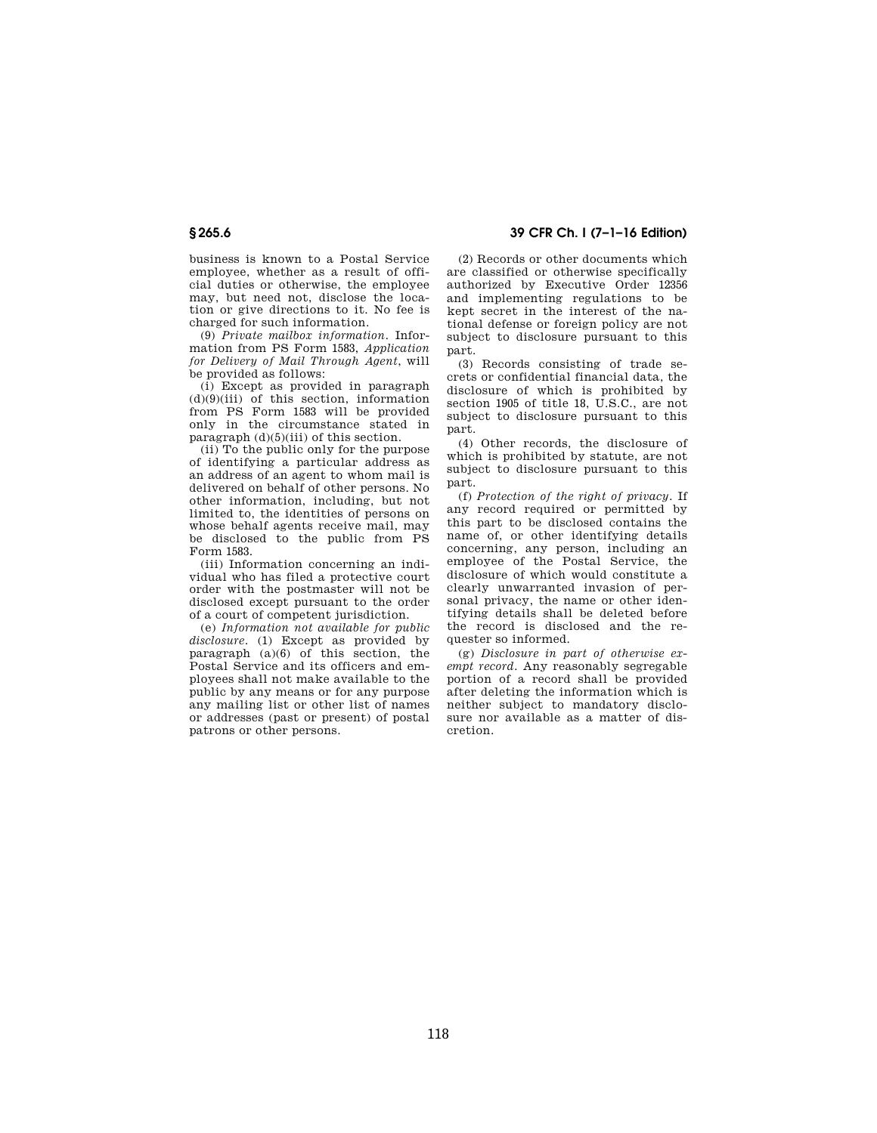business is known to a Postal Service employee, whether as a result of official duties or otherwise, the employee may, but need not, disclose the location or give directions to it. No fee is charged for such information.

(9) *Private mailbox information.* Information from PS Form 1583, *Application for Delivery of Mail Through Agent*, will be provided as follows:

(i) Except as provided in paragraph (d)(9)(iii) of this section, information from PS Form 1583 will be provided only in the circumstance stated in paragraph  $(d)(5)(iii)$  of this section.

(ii) To the public only for the purpose of identifying a particular address as an address of an agent to whom mail is delivered on behalf of other persons. No other information, including, but not limited to, the identities of persons on whose behalf agents receive mail, may be disclosed to the public from PS Form 1583.

(iii) Information concerning an individual who has filed a protective court order with the postmaster will not be disclosed except pursuant to the order of a court of competent jurisdiction.

(e) *Information not available for public disclosure.* (1) Except as provided by paragraph  $(a)(6)$  of this section, the Postal Service and its officers and employees shall not make available to the public by any means or for any purpose any mailing list or other list of names or addresses (past or present) of postal patrons or other persons.

**§ 265.6 39 CFR Ch. I (7–1–16 Edition)** 

(2) Records or other documents which are classified or otherwise specifically authorized by Executive Order 12356 and implementing regulations to be kept secret in the interest of the national defense or foreign policy are not subject to disclosure pursuant to this part.

(3) Records consisting of trade secrets or confidential financial data, the disclosure of which is prohibited by section 1905 of title 18, U.S.C., are not subject to disclosure pursuant to this part.

(4) Other records, the disclosure of which is prohibited by statute, are not subject to disclosure pursuant to this part.

(f) *Protection of the right of privacy.* If any record required or permitted by this part to be disclosed contains the name of, or other identifying details concerning, any person, including an employee of the Postal Service, the disclosure of which would constitute a clearly unwarranted invasion of personal privacy, the name or other identifying details shall be deleted before the record is disclosed and the requester so informed.

(g) *Disclosure in part of otherwise exempt record.* Any reasonably segregable portion of a record shall be provided after deleting the information which is neither subject to mandatory disclosure nor available as a matter of discretion.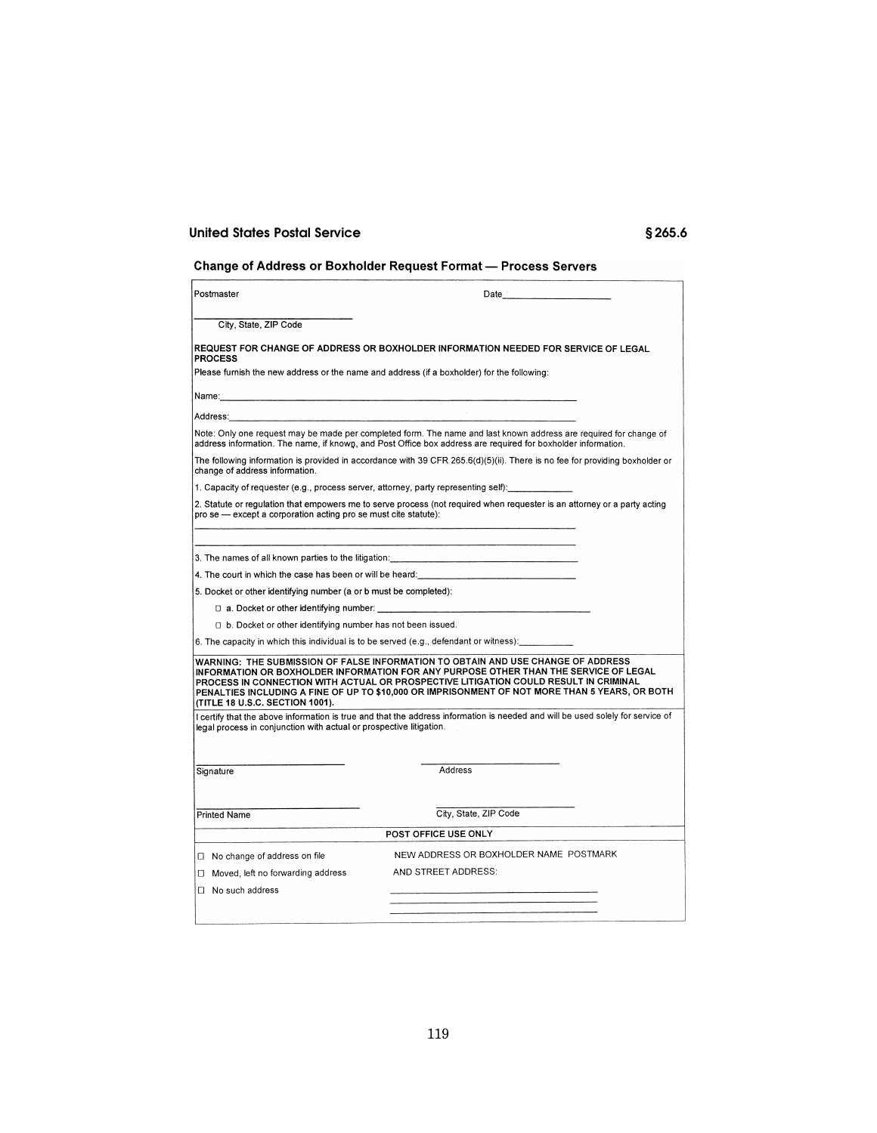# **Change of Address or Boxholder Request Format - Process Servers**

| Postmaster                                                                                                                                                                                                                                                                                                                                                                                            | Date                                                                                                                           |  |
|-------------------------------------------------------------------------------------------------------------------------------------------------------------------------------------------------------------------------------------------------------------------------------------------------------------------------------------------------------------------------------------------------------|--------------------------------------------------------------------------------------------------------------------------------|--|
| City, State, ZIP Code                                                                                                                                                                                                                                                                                                                                                                                 |                                                                                                                                |  |
| <b>PROCESS</b>                                                                                                                                                                                                                                                                                                                                                                                        | REQUEST FOR CHANGE OF ADDRESS OR BOXHOLDER INFORMATION NEEDED FOR SERVICE OF LEGAL                                             |  |
| Please furnish the new address or the name and address (if a boxholder) for the following:                                                                                                                                                                                                                                                                                                            |                                                                                                                                |  |
| Name: 2008. 2009. 2009. 2009. 2010. 2010. 2010. 2010. 2010. 2010. 2010. 2010. 2010. 2010. 2010. 2010                                                                                                                                                                                                                                                                                                  |                                                                                                                                |  |
|                                                                                                                                                                                                                                                                                                                                                                                                       |                                                                                                                                |  |
| Note: Only one request may be made per completed form. The name and last known address are required for change of<br>address information. The name, if known, and Post Office box address are required for boxholder information.                                                                                                                                                                     |                                                                                                                                |  |
| The following information is provided in accordance with 39 CFR 265.6(d)(5)(ii). There is no fee for providing boxholder or<br>change of address information.                                                                                                                                                                                                                                         |                                                                                                                                |  |
| 1. Capacity of requester (e.g., process server, attorney, party representing self):                                                                                                                                                                                                                                                                                                                   |                                                                                                                                |  |
| 2. Statute or regulation that empowers me to serve process (not required when requester is an attorney or a party acting<br>pro se - except a corporation acting pro se must cite statute):                                                                                                                                                                                                           |                                                                                                                                |  |
|                                                                                                                                                                                                                                                                                                                                                                                                       |                                                                                                                                |  |
| 4. The court in which the case has been or will be heard: _______________________                                                                                                                                                                                                                                                                                                                     |                                                                                                                                |  |
| 5. Docket or other identifying number (a or b must be completed):                                                                                                                                                                                                                                                                                                                                     |                                                                                                                                |  |
| □ a. Docket or other identifying number:                                                                                                                                                                                                                                                                                                                                                              |                                                                                                                                |  |
| [] b. Docket or other identifying number has not been issued.                                                                                                                                                                                                                                                                                                                                         |                                                                                                                                |  |
| 6. The capacity in which this individual is to be served (e.g., defendant or witness):                                                                                                                                                                                                                                                                                                                |                                                                                                                                |  |
| WARNING: THE SUBMISSION OF FALSE INFORMATION TO OBTAIN AND USE CHANGE OF ADDRESS<br>INFORMATION OR BOXHOLDER INFORMATION FOR ANY PURPOSE OTHER THAN THE SERVICE OF LEGAL<br>PROCESS IN CONNECTION WITH ACTUAL OR PROSPECTIVE LITIGATION COULD RESULT IN CRIMINAL<br>PENALTIES INCLUDING A FINE OF UP TO \$10,000 OR IMPRISONMENT OF NOT MORE THAN 5 YEARS, OR BOTH<br>(TITLE 18 U.S.C. SECTION 1001). |                                                                                                                                |  |
| legal process in conjunction with actual or prospective litigation.                                                                                                                                                                                                                                                                                                                                   | I certify that the above information is true and that the address information is needed and will be used solely for service of |  |
| Signature                                                                                                                                                                                                                                                                                                                                                                                             | <b>Address</b>                                                                                                                 |  |
|                                                                                                                                                                                                                                                                                                                                                                                                       |                                                                                                                                |  |
| <b>Printed Name</b>                                                                                                                                                                                                                                                                                                                                                                                   | City. State, ZIP Code                                                                                                          |  |
| POST OFFICE USE ONLY                                                                                                                                                                                                                                                                                                                                                                                  |                                                                                                                                |  |
| □ No change of address on file                                                                                                                                                                                                                                                                                                                                                                        | NEW ADDRESS OR BOXHOLDER NAME POSTMARK                                                                                         |  |
| □ Moved, left no forwarding address                                                                                                                                                                                                                                                                                                                                                                   | AND STREET ADDRESS:                                                                                                            |  |
| □ No such address                                                                                                                                                                                                                                                                                                                                                                                     |                                                                                                                                |  |
|                                                                                                                                                                                                                                                                                                                                                                                                       |                                                                                                                                |  |